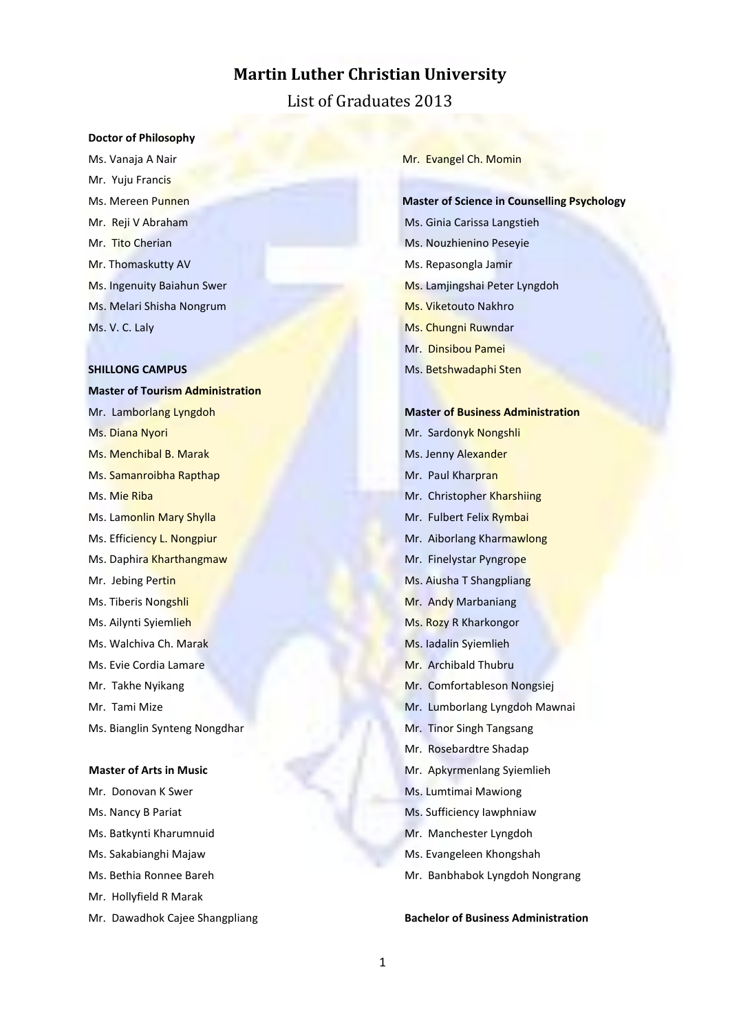# **Martin Luther Christian University**

List of Graduates 2013

#### **Doctor of Philosophy**

Ms. Vanaja A Nair Mr. Yuju Francis Ms. Mereen Punnen Mr. Reji V Abraham Mr. Tito Cherian Mr. Thomaskutty AV Ms. Ingenuity Baiahun Swer Ms. Melari Shisha Nongrum Ms. V. C. Laly

### **SHILLONG CAMPUS**

**Master of Tourism Administration** Mr. Lamborlang Lyngdoh Ms. Diana Nyori Ms. Menchibal B. Marak Ms. Samanroibha Rapthap Ms. Mie Riba Ms. Lamonlin Mary Shylla Ms. Efficiency L. Nongpiur Ms. Daphira Kharthangmaw Mr. Jebing Pertin Ms. Tiberis Nongshli Ms. Ailynti Syiemlieh Ms. Walchiva Ch. Marak Ms. Evie Cordia Lamare Mr. Takhe Nyikang Mr. Tami Mize Ms. Bianglin Synteng Nongdhar

### **Master of Arts in Music**

Mr. Donovan K Swer Ms. Nancy B Pariat Ms. Batkynti Kharumnuid Ms. Sakabianghi Majaw Ms. Bethia Ronnee Bareh Mr. Hollyfield R Marak Mr. Dawadhok Cajee Shangpliang Mr. Evangel Ch. Momin

**Master of Science in Counselling Psychology** Ms. Ginia Carissa Langstieh Ms. Nouzhienino Peseyie Ms. Repasongla Jamir Ms. Lamjingshai Peter Lyngdoh Ms. Viketouto Nakhro Ms. Chungni Ruwndar Mr. Dinsibou Pamei Ms. Betshwadaphi Sten

**Master of Business Administration** Mr. Sardonyk Nongshli Ms. Jenny Alexander Mr. Paul Kharpran Mr. Christopher Kharshiing Mr. Fulbert Felix Rymbai Mr. Aiborlang Kharmawlong Mr. Finelystar Pyngrope Ms. Aiusha T Shangpliang Mr. Andy Marbaniang Ms. Rozy R Kharkongor Ms. Iadalin Syiemlieh Mr. Archibald Thubru Mr. Comfortableson Nongsiej Mr. Lumborlang Lyngdoh Mawnai Mr. Tinor Singh Tangsang Mr. Rosebardtre Shadap Mr. Apkyrmenlang Syiemlieh Ms. Lumtimai Mawiong Ms. Sufficiency Iawphniaw Mr. Manchester Lyngdoh Ms. Evangeleen Khongshah Mr. Banbhabok Lyngdoh Nongrang

### **Bachelor of Business Administration**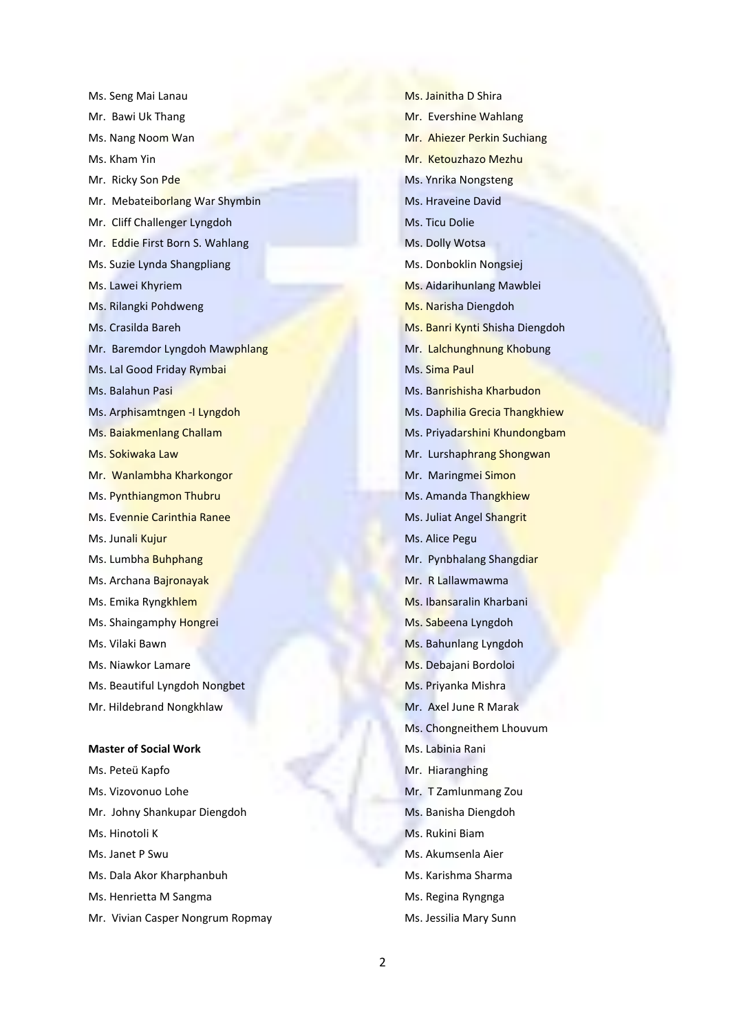Ms. Seng Mai Lanau Mr. Bawi Uk Thang Ms. Nang Noom Wan Ms. Kham Yin Mr. Ricky Son Pde Mr. Mebateiborlang War Shymbin Mr. Cliff Challenger Lyngdoh Mr. Eddie First Born S. Wahlang Ms. Suzie Lynda Shangpliang Ms. Lawei Khyriem Ms. Rilangki Pohdweng Ms. Crasilda Bareh Mr. Baremdor Lyngdoh Mawphlang Ms. Lal Good Friday Rymbai Ms. Balahun Pasi Ms. Arphisamtngen -I Lyngdoh Ms. Baiakmenlang Challam Ms. Sokiwaka Law Mr. Wanlambha Kharkongor Ms. Pynthiangmon Thubru Ms. Evennie Carinthia Ranee Ms. Junali Kujur Ms. Lumbha Buhphang Ms. Archana Bajronayak Ms. Emika Ryngkhlem Ms. Shaingamphy Hongrei Ms. Vilaki Bawn Ms. Niawkor Lamare Ms. Beautiful Lyngdoh Nongbet Mr. Hildebrand Nongkhlaw **Master of Social Work** Ms. Peteü Kapfo Ms. Vizovonuo Lohe Mr. Johny Shankupar Diengdoh Ms. Hinotoli K Ms. Janet P Swu Ms. Dala Akor Kharphanbuh

- Ms. Henrietta M Sangma
- Mr. Vivian Casper Nongrum Ropmay

Ms. Jainitha D Shira Mr. Evershine Wahlang Mr. Ahiezer Perkin Suchiang Mr. Ketouzhazo Mezhu Ms. Ynrika Nongsteng Ms. Hraveine David Ms. Ticu Dolie Ms. Dolly Wotsa Ms. Donboklin Nongsiej Ms. Aidarihunlang Mawblei Ms. Narisha Diengdoh Ms. Banri Kynti Shisha Diengdoh Mr. Lalchunghnung Khobung Ms. Sima Paul Ms. Banrishisha Kharbudon Ms. Daphilia Grecia Thangkhiew Ms. Priyadarshini Khundongbam Mr. Lurshaphrang Shongwan Mr. Maringmei Simon Ms. Amanda Thangkhiew Ms. Juliat Angel Shangrit Ms. Alice Pegu Mr. Pynbhalang Shangdiar Mr. R Lallawmawma Ms. Ibansaralin Kharbani Ms. Sabeena Lyngdoh Ms. Bahunlang Lyngdoh Ms. Debajani Bordoloi Ms. Priyanka Mishra Mr. Axel June R Marak Ms. Chongneithem Lhouvum Ms. Labinia Rani Mr. Hiaranghing Mr. T Zamlunmang Zou Ms. Banisha Diengdoh Ms. Rukini Biam Ms. Akumsenla Aier Ms. Karishma Sharma Ms. Regina Ryngnga Ms. Jessilia Mary Sunn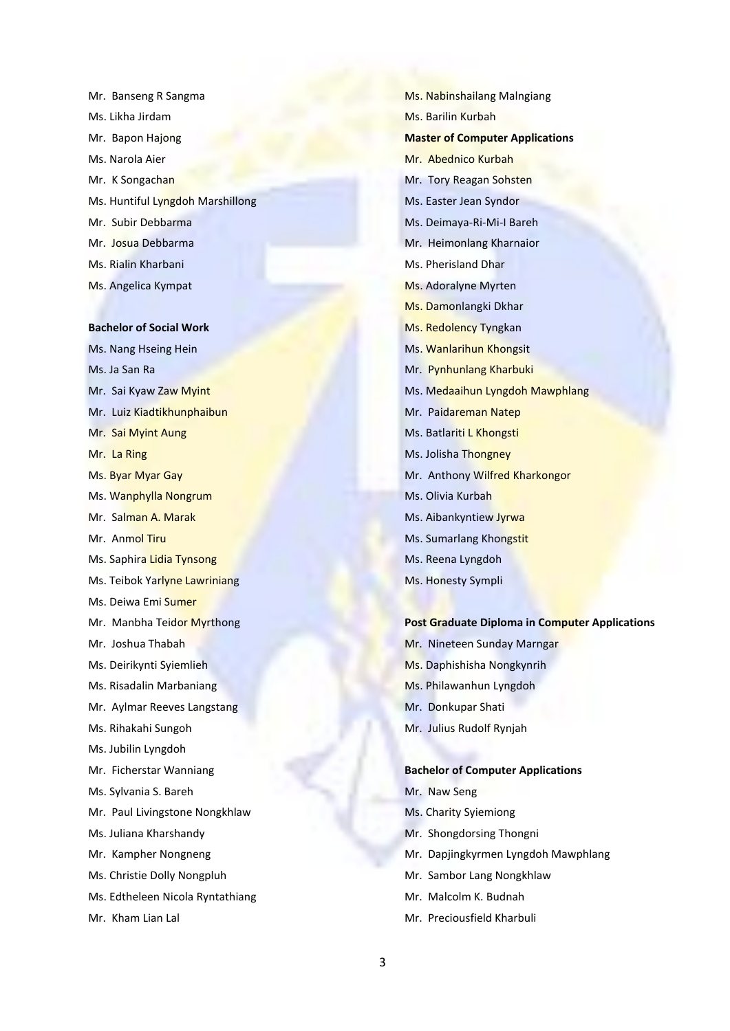Mr. Banseng R Sangma Ms. Likha Jirdam Mr. Bapon Hajong Ms. Narola Aier Mr. K Songachan Ms. Huntiful Lyngdoh Marshillong Mr. Subir Debbarma Mr. Josua Debbarma Ms. Rialin Kharbani Ms. Angelica Kympat

#### **Bachelor of Social Work**

Ms. Nang Hseing Hein Ms. Ja San Ra Mr. Sai Kyaw Zaw Myint Mr. Luiz Kiadtikhunphaibun Mr. Sai Myint Aung Mr. La Ring Ms. Byar Myar Gay Ms. Wanphylla Nongrum Mr. Salman A. Marak Mr. Anmol Tiru Ms. Saphira Lidia Tynsong Ms. Teibok Yarlyne Lawriniang Ms. Deiwa Emi Sumer Mr. Manbha Teidor Myrthong Mr. Joshua Thabah Ms. Deirikynti Syiemlieh Ms. Risadalin Marbaniang Mr. Aylmar Reeves Langstang Ms. Rihakahi Sungoh Ms. Jubilin Lyngdoh Mr. Ficherstar Wanniang Ms. Sylvania S. Bareh Mr. Paul Livingstone Nongkhlaw Ms. Juliana Kharshandy Mr. Kampher Nongneng Ms. Christie Dolly Nongpluh Ms. Edtheleen Nicola Ryntathiang Mr. Kham Lian Lal

Ms. Nabinshailang Malngiang Ms. Barilin Kurbah **Master of Computer Applications** Mr. Abednico Kurbah Mr. Tory Reagan Sohsten Ms. Easter Jean Syndor Ms. Deimaya-Ri-Mi-I Bareh Mr. Heimonlang Kharnaior Ms. Pherisland Dhar Ms. Adoralyne Myrten Ms. Damonlangki Dkhar Ms. Redolency Tyngkan Ms. Wanlarihun Khongsit Mr. Pynhunlang Kharbuki Ms. Medaaihun Lyngdoh Mawphlang Mr. Paidareman Natep Ms. Batlariti L Khongsti Ms. Jolisha Thongney Mr. Anthony Wilfred Kharkongor Ms. Olivia Kurbah Ms. Aibankyntiew Jyrwa Ms. Sumarlang Khongstit Ms. Reena Lyngdoh Ms. Honesty Sympli

### **Post Graduate Diploma in Computer Applications**

- Mr. Nineteen Sunday Marngar
- Ms. Daphishisha Nongkynrih
- Ms. Philawanhun Lyngdoh
- Mr. Donkupar Shati
- Mr. Julius Rudolf Rynjah

### **Bachelor of Computer Applications**

- Mr. Naw Seng
- Ms. Charity Syiemiong
- Mr. Shongdorsing Thongni
- Mr. Dapjingkyrmen Lyngdoh Mawphlang
- Mr. Sambor Lang Nongkhlaw
- Mr. Malcolm K. Budnah
- Mr. Preciousfield Kharbuli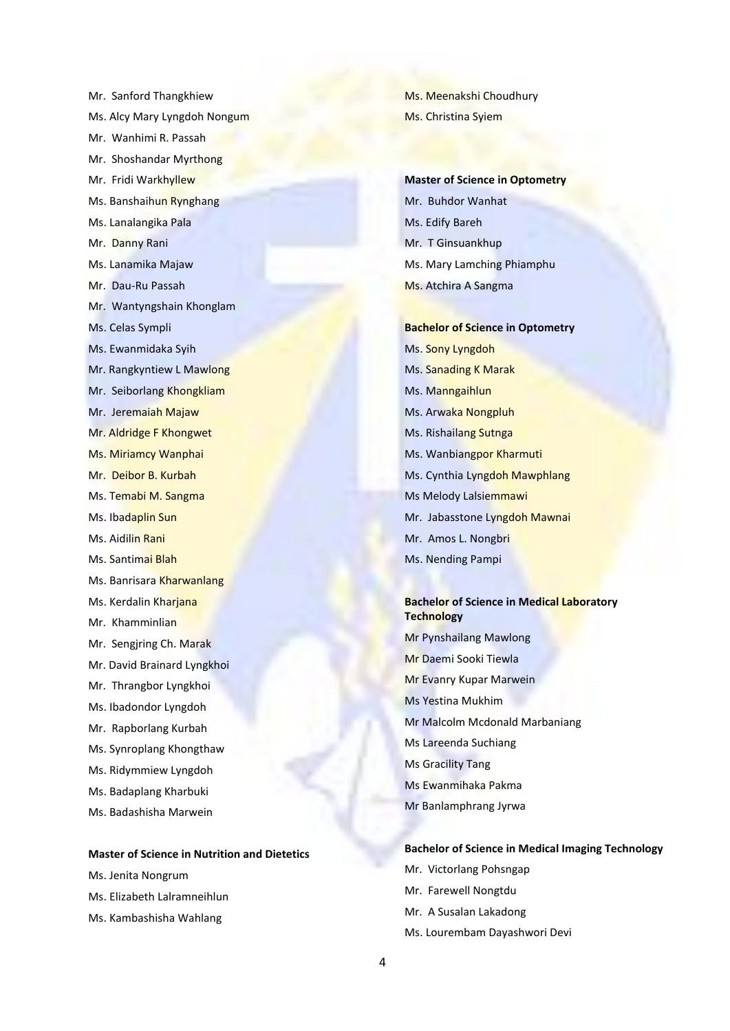Mr. Sanford Thangkhiew Ms. Alcy Mary Lyngdoh Nongum Mr. Wanhimi R. Passah Mr. Shoshandar Myrthong Mr. Fridi Warkhyllew Ms. Banshaihun Rynghang Ms. Lanalangika Pala Mr. Danny Rani Ms. Lanamika Majaw Mr. Dau-Ru Passah Mr. Wantyngshain Khonglam Ms. Celas Sympli Ms. Ewanmidaka Syih Mr. Rangkyntiew L Mawlong Mr. Seiborlang Khongkliam Mr. Jeremaiah Majaw Mr. Aldridge F Khongwet Ms. Miriamcy Wanphai Mr. Deibor B. Kurbah Ms. Temabi M. Sangma Ms. Ibadaplin Sun Ms. Aidilin Rani Ms. Santimai Blah Ms. Banrisara Kharwanlang Ms. Kerdalin Kharjana Mr. Khamminlian Mr. Sengjring Ch. Marak Mr. David Brainard Lyngkhoi Mr. Thrangbor Lyngkhoi Ms. Ibadondor Lyngdoh Mr. Rapborlang Kurbah Ms. Synroplang Khongthaw Ms. Ridymmiew Lyngdoh Ms. Badaplang Kharbuki Ms. Badashisha Marwein

#### **Master of Science in Nutrition and Dietetics**

- Ms. Jenita Nongrum
- Ms. Elizabeth Lalramneihlun
- Ms. Kambashisha Wahlang

Ms. Meenakshi Choudhury Ms. Christina Syiem

**Master of Science in Optometry** Mr. Buhdor Wanhat Ms. Edify Bareh Mr. T Ginsuankhup Ms. Mary Lamching Phiamphu Ms. Atchira A Sangma

**Bachelor of Science in Optometry** Ms. Sony Lyngdoh Ms. Sanading K Marak Ms. Manngaihlun Ms. Arwaka Nongpluh Ms. Rishailang Sutnga Ms. Wanbiangpor Kharmuti Ms. Cynthia Lyngdoh Mawphlang Ms Melody Lalsiemmawi Mr. Jabasstone Lyngdoh Mawnai Mr. Amos L. Nongbri Ms. Nending Pampi

### **Bachelor of Science in Medical Laboratory Technology**

Mr Pynshailang Mawlong Mr Daemi Sooki Tiewla Mr Evanry Kupar Marwein Ms Yestina Mukhim Mr Malcolm Mcdonald Marbaniang Ms Lareenda Suchiang Ms Gracility Tang Ms Ewanmihaka Pakma Mr Banlamphrang Jyrwa

### **Bachelor of Science in Medical Imaging Technology**

- Mr. Victorlang Pohsngap Mr. Farewell Nongtdu
- Mr. A Susalan Lakadong
- Ms. Lourembam Dayashwori Devi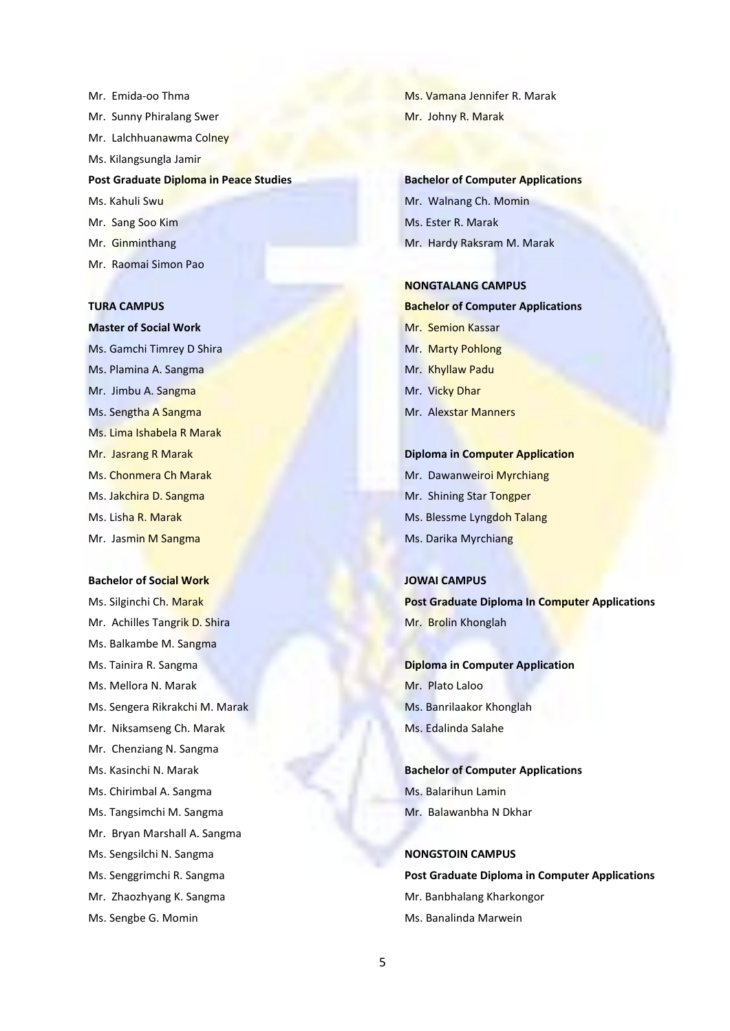Mr. Emida-oo Thma Mr. Sunny Phiralang Swer Mr. Lalchhuanawma Colney Ms. Kilangsungla Jamir **Post Graduate Diploma in Peace Studies** Ms. Kahuli Swu Mr. Sang Soo Kim Mr. Ginminthang Mr. Raomai Simon Pao

**TURA CAMPUS Master of Social Work** Ms. Gamchi Timrey D Shira Ms. Plamina A. Sangma Mr. Jimbu A. Sangma Ms. Sengtha A Sangma Ms. Lima Ishabela R Marak Mr. Jasrang R Marak Ms. Chonmera Ch Marak Ms. Jakchira D. Sangma Ms. Lisha R. Marak Mr. Jasmin M Sangma

#### **Bachelor of Social Work**

Ms. Silginchi Ch. Marak Mr. Achilles Tangrik D. Shira Ms. Balkambe M. Sangma Ms. Tainira R. Sangma Ms. Mellora N. Marak Ms. Sengera Rikrakchi M. Marak Mr. Niksamseng Ch. Marak Mr. Chenziang N. Sangma Ms. Kasinchi N. Marak Ms. Chirimbal A. Sangma Ms. Tangsimchi M. Sangma Mr. Bryan Marshall A. Sangma Ms. Sengsilchi N. Sangma Ms. Senggrimchi R. Sangma Mr. Zhaozhyang K. Sangma Ms. Sengbe G. Momin

Ms. Vamana Jennifer R. Marak Mr. Johny R. Marak

**Bachelor of Computer Applications** Mr. Walnang Ch. Momin Ms. Ester R. Marak Mr. Hardy Raksram M. Marak

#### **NONGTALANG CAMPUS**

**Bachelor of Computer Applications** Mr. Semion Kassar Mr. Marty Pohlong Mr. Khyllaw Padu Mr. Vicky Dhar Mr. Alexstar Manners

**Diploma in Computer Application** Mr. Dawanweiroi Myrchiang Mr. Shining Star Tongper Ms. Blessme Lyngdoh Talang Ms. Darika Myrchiang

**JOWAI CAMPUS Post Graduate Diploma In Computer Applications** Mr. Brolin Khonglah

**Diploma in Computer Application** Mr. Plato Laloo Ms. Banrilaakor Khonglah Ms. Edalinda Salahe

**Bachelor of Computer Applications** Ms. Balarihun Lamin Mr. Balawanbha N Dkhar

**NONGSTOIN CAMPUS**

**Post Graduate Diploma in Computer Applications**  Mr. Banbhalang Kharkongor Ms. Banalinda Marwein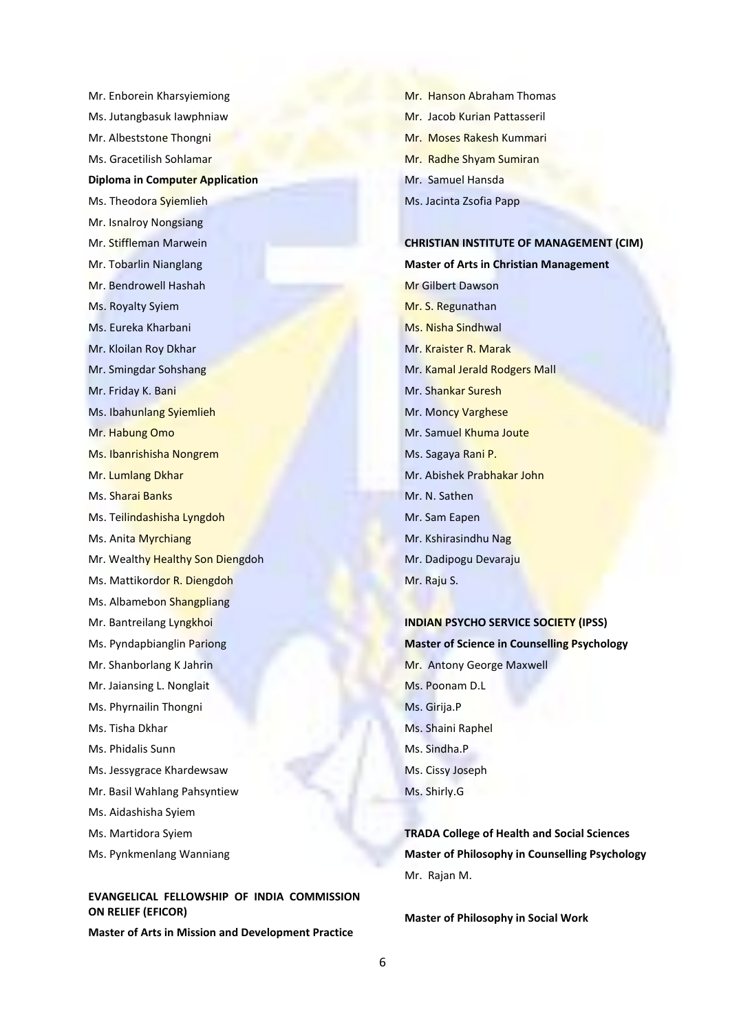Mr. Enborein Kharsyiemiong Ms. Jutangbasuk Iawphniaw Mr. Albeststone Thongni Ms. Gracetilish Sohlamar **Diploma in Computer Application** Ms. Theodora Syiemlieh Mr. Isnalroy Nongsiang Mr. Stiffleman Marwein Mr. Tobarlin Nianglang Mr. Bendrowell Hashah Ms. Royalty Syiem Ms. Eureka Kharbani Mr. Kloilan Roy Dkhar Mr. Smingdar Sohshang Mr. Friday K. Bani Ms. Ibahunlang Syiemlieh Mr. Habung Omo Ms. Ibanrishisha Nongrem Mr. Lumlang Dkhar Ms. Sharai Banks Ms. Teilindashisha Lyngdoh Ms. Anita Myrchiang Mr. Wealthy Healthy Son Diengdoh Ms. Mattikordor R. Diengdoh Ms. Albamebon Shangpliang Mr. Bantreilang Lyngkhoi Ms. Pyndapbianglin Pariong Mr. Shanborlang K Jahrin Mr. Jaiansing L. Nonglait Ms. Phyrnailin Thongni Ms. Tisha Dkhar Ms. Phidalis Sunn Ms. Jessygrace Khardewsaw Mr. Basil Wahlang Pahsyntiew Ms. Aidashisha Syiem Ms. Martidora Syiem

Ms. Pynkmenlang Wanniang

# **EVANGELICAL FELLOWSHIP OF INDIA COMMISSION ON RELIEF (EFICOR)**

**Master of Arts in Mission and Development Practice**

Mr. Hanson Abraham Thomas Mr. Jacob Kurian Pattasseril Mr. Moses Rakesh Kummari Mr. Radhe Shyam Sumiran Mr. Samuel Hansda Ms. Jacinta Zsofia Papp

## **CHRISTIAN INSTITUTE OF MANAGEMENT (CIM) Master of Arts in Christian Management**

Mr Gilbert Dawson Mr. S. Regunathan Ms. Nisha Sindhwal Mr. Kraister R. Marak Mr. Kamal Jerald Rodgers Mall Mr. Shankar Suresh Mr. Moncy Varghese Mr. Samuel Khuma Joute Ms. Sagaya Rani P. Mr. Abishek Prabhakar John Mr. N. Sathen Mr. Sam Eapen Mr. Kshirasindhu Nag Mr. Dadipogu Devaraju Mr. Raju S.

**INDIAN PSYCHO SERVICE SOCIETY (IPSS) Master of Science in Counselling Psychology** Mr. Antony George Maxwell Ms. Poonam D.L Ms. Girija.P Ms. Shaini Raphel Ms. Sindha.P Ms. Cissy Joseph Ms. Shirly.G

**TRADA College of Health and Social Sciences Master of Philosophy in Counselling Psychology** Mr. Rajan M.

**Master of Philosophy in Social Work**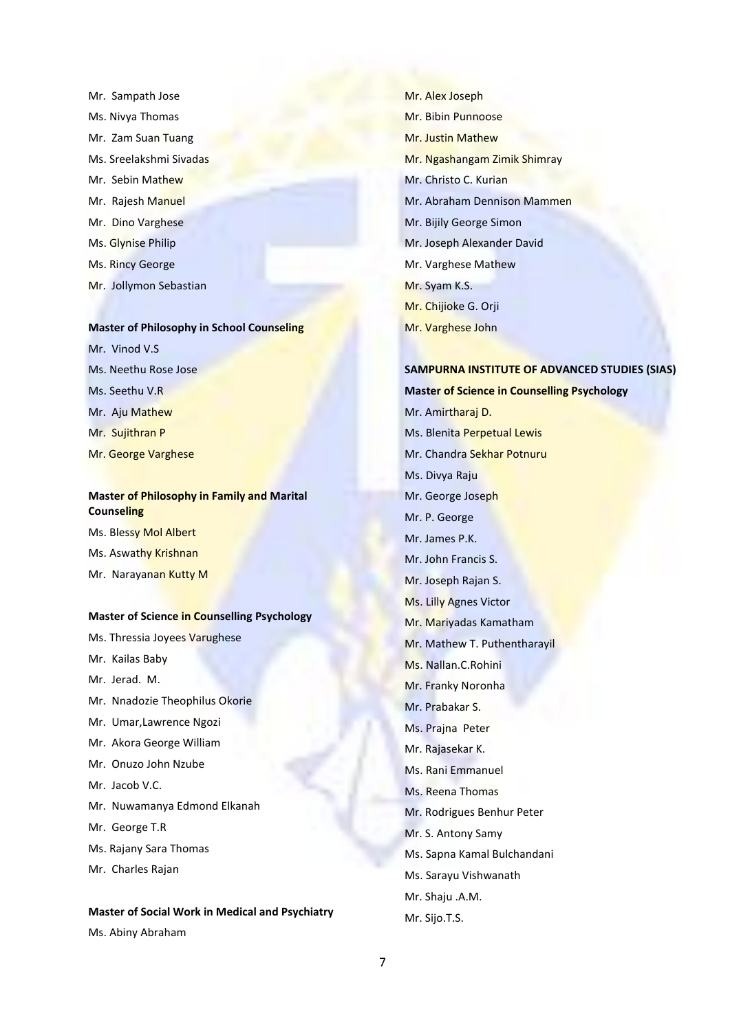Mr. Sampath Jose Ms. Nivya Thomas Mr. Zam Suan Tuang Ms. Sreelakshmi Sivadas Mr. Sebin Mathew Mr. Rajesh Manuel Mr. Dino Varghese Ms. Glynise Philip Ms. Rincy George Mr. Jollymon Sebastian

### **Master of Philosophy in School Counseling**

Mr. Vinod V.S. Ms. Neethu Rose Jose Ms. Seethu V.R Mr. Aju Mathew Mr. Sujithran P Mr. George Varghese

### **Master of Philosophy in Family and Marital Counseling**

Ms. Blessy Mol Albert Ms. Aswathy Krishnan Mr. Narayanan Kutty M

#### **Master of Science in Counselling Psychology**

- Ms. Thressia Joyees Varughese Mr. Kailas Baby
- Mr. Jerad. M.
- Mr. Nnadozie Theophilus Okorie
- Mr. Umar,Lawrence Ngozi
- Mr. Akora George William
- Mr. Onuzo John Nzube
- Mr. Jacob V.C.
- Mr. Nuwamanya Edmond Elkanah
- Mr. George T.R
- Ms. Rajany Sara Thomas
- Mr. Charles Rajan

# **Master of Social Work in Medical and Psychiatry**

Ms. Abiny Abraham

Mr. Alex Joseph Mr. Bibin Punnoose Mr. Justin Mathew Mr. Ngashangam Zimik Shimray Mr. Christo C. Kurian Mr. Abraham Dennison Mammen Mr. Bijily George Simon Mr. Joseph Alexander David Mr. Varghese Mathew Mr. Syam K.S. Mr. Chijioke G. Orji Mr. Varghese John

### **SAMPURNA INSTITUTE OF ADVANCED STUDIES (SIAS)**

**Master of Science in Counselling Psychology**

Mr. Amirtharaj D. Ms. Blenita Perpetual Lewis Mr. Chandra Sekhar Potnuru Ms. Divya Raju Mr. George Joseph Mr. P. George Mr. James P.K. Mr. John Francis S. Mr. Joseph Rajan S. Ms. Lilly Agnes Victor Mr. Mariyadas Kamatham Mr. Mathew T. Puthentharayil Ms. Nallan.C.Rohini Mr. Franky Noronha Mr. Prabakar S. Ms. Prajna Peter Mr. Rajasekar K. Ms. Rani Emmanuel Ms. Reena Thomas Mr. Rodrigues Benhur Peter Mr. S. Antony Samy Ms. Sapna Kamal Bulchandani Ms. Sarayu Vishwanath Mr. Shaju .A.M. Mr. Sijo.T.S.